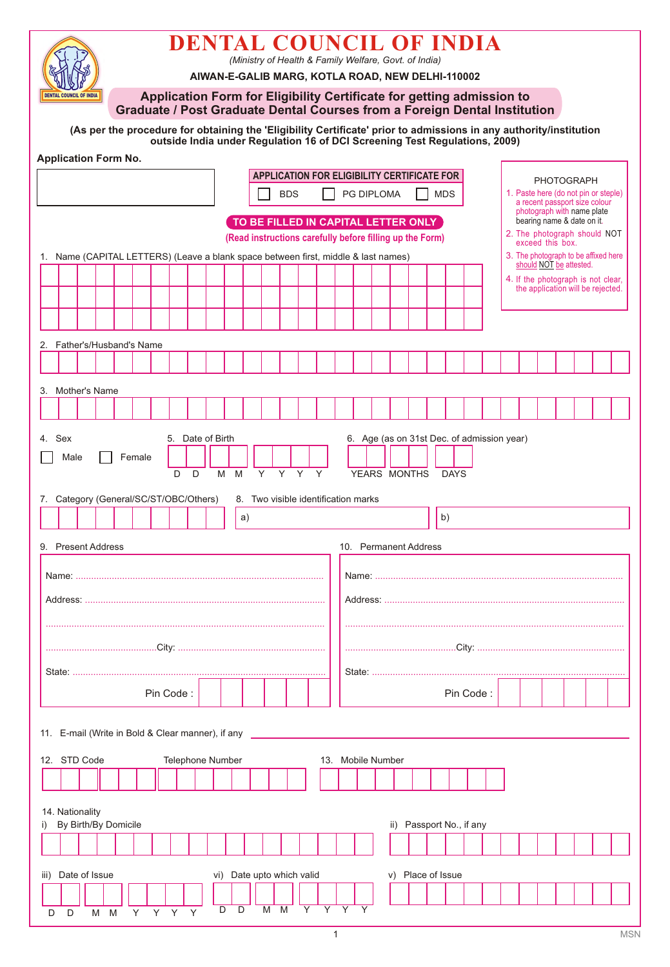| <b>DENTAL COUNCIL OF INDIA</b><br>AIWAN-E-GALIB MARG, KOTLA ROAD, NEW DELHI-110002                                                                                                               |      |                         |                      |  |        |    |           |                  |     |   |                                                                                | (Ministry of Health & Family Welfare, Govt. of India) |                                                                                                              |   |    |                                                                       |  |  |  |                                                           |                                                                 |                                                                                           |  |  |                                                                         |                                                                                  |  |  |  |  |  |  |
|--------------------------------------------------------------------------------------------------------------------------------------------------------------------------------------------------|------|-------------------------|----------------------|--|--------|----|-----------|------------------|-----|---|--------------------------------------------------------------------------------|-------------------------------------------------------|--------------------------------------------------------------------------------------------------------------|---|----|-----------------------------------------------------------------------|--|--|--|-----------------------------------------------------------|-----------------------------------------------------------------|-------------------------------------------------------------------------------------------|--|--|-------------------------------------------------------------------------|----------------------------------------------------------------------------------|--|--|--|--|--|--|
|                                                                                                                                                                                                  |      | DENTAL COUNCIL OF INDIA |                      |  |        |    |           |                  |     |   |                                                                                |                                                       |                                                                                                              |   |    | Application Form for Eligibility Certificate for getting admission to |  |  |  |                                                           |                                                                 |                                                                                           |  |  |                                                                         | <b>Graduate / Post Graduate Dental Courses from a Foreign Dental Institution</b> |  |  |  |  |  |  |
| (As per the procedure for obtaining the 'Eligibility Certificate' prior to admissions in any authority/institution<br>outside India under Regulation 16 of DCI Screening Test Regulations, 2009) |      |                         |                      |  |        |    |           |                  |     |   |                                                                                |                                                       |                                                                                                              |   |    |                                                                       |  |  |  |                                                           |                                                                 |                                                                                           |  |  |                                                                         |                                                                                  |  |  |  |  |  |  |
| <b>Application Form No.</b>                                                                                                                                                                      |      |                         |                      |  |        |    |           |                  |     |   |                                                                                |                                                       |                                                                                                              |   |    |                                                                       |  |  |  |                                                           |                                                                 |                                                                                           |  |  |                                                                         |                                                                                  |  |  |  |  |  |  |
| <b>BDS</b>                                                                                                                                                                                       |      |                         |                      |  |        |    |           |                  |     |   | <b>APPLICATION FOR ELIGIBILITY CERTIFICATE FOR</b><br>PG DIPLOMA<br><b>MDS</b> |                                                       |                                                                                                              |   |    |                                                                       |  |  |  | <b>PHOTOGRAPH</b><br>1. Paste here (do not pin or steple) |                                                                 |                                                                                           |  |  |                                                                         |                                                                                  |  |  |  |  |  |  |
|                                                                                                                                                                                                  |      |                         |                      |  |        |    |           |                  |     |   |                                                                                | TO BE FILLED IN CAPITAL LETTER ONLY                   |                                                                                                              |   |    |                                                                       |  |  |  |                                                           |                                                                 | a recent passport size colour<br>photograph with name plate<br>bearing name & date on it. |  |  |                                                                         |                                                                                  |  |  |  |  |  |  |
|                                                                                                                                                                                                  |      |                         |                      |  |        |    |           |                  |     |   |                                                                                |                                                       | 2. The photograph should NOT<br>(Read instructions carefully before filling up the Form)<br>exceed this box. |   |    |                                                                       |  |  |  |                                                           |                                                                 |                                                                                           |  |  |                                                                         |                                                                                  |  |  |  |  |  |  |
| 1. Name (CAPITAL LETTERS) (Leave a blank space between first, middle & last names)                                                                                                               |      |                         |                      |  |        |    |           |                  |     |   |                                                                                |                                                       |                                                                                                              |   |    |                                                                       |  |  |  |                                                           | 3. The photograph to be affixed here<br>should NOT be attested. |                                                                                           |  |  |                                                                         |                                                                                  |  |  |  |  |  |  |
|                                                                                                                                                                                                  |      |                         |                      |  |        |    |           |                  |     |   |                                                                                |                                                       |                                                                                                              |   |    |                                                                       |  |  |  |                                                           |                                                                 |                                                                                           |  |  | 4. If the photograph is not clear,<br>the application will be rejected. |                                                                                  |  |  |  |  |  |  |
|                                                                                                                                                                                                  |      |                         |                      |  |        |    |           |                  |     |   |                                                                                |                                                       |                                                                                                              |   |    |                                                                       |  |  |  |                                                           |                                                                 |                                                                                           |  |  |                                                                         |                                                                                  |  |  |  |  |  |  |
| 2. Father's/Husband's Name                                                                                                                                                                       |      |                         |                      |  |        |    |           |                  |     |   |                                                                                |                                                       |                                                                                                              |   |    |                                                                       |  |  |  |                                                           |                                                                 |                                                                                           |  |  |                                                                         |                                                                                  |  |  |  |  |  |  |
|                                                                                                                                                                                                  |      |                         |                      |  |        |    |           |                  |     |   |                                                                                |                                                       |                                                                                                              |   |    |                                                                       |  |  |  |                                                           |                                                                 |                                                                                           |  |  |                                                                         |                                                                                  |  |  |  |  |  |  |
| 3. Mother's Name                                                                                                                                                                                 |      |                         |                      |  |        |    |           |                  |     |   |                                                                                |                                                       |                                                                                                              |   |    |                                                                       |  |  |  |                                                           |                                                                 |                                                                                           |  |  |                                                                         |                                                                                  |  |  |  |  |  |  |
|                                                                                                                                                                                                  |      |                         |                      |  |        |    |           |                  |     |   |                                                                                |                                                       |                                                                                                              |   |    |                                                                       |  |  |  |                                                           |                                                                 |                                                                                           |  |  |                                                                         |                                                                                  |  |  |  |  |  |  |
| 4. Sex                                                                                                                                                                                           |      |                         |                      |  |        |    |           | 5. Date of Birth |     |   |                                                                                |                                                       |                                                                                                              |   |    |                                                                       |  |  |  | 6. Age (as on 31st Dec. of admission year)                |                                                                 |                                                                                           |  |  |                                                                         |                                                                                  |  |  |  |  |  |  |
|                                                                                                                                                                                                  | Male |                         |                      |  | Female |    | D         | D                | M   | M |                                                                                | Y                                                     | Y Y                                                                                                          |   | Y  |                                                                       |  |  |  | YEARS MONTHS                                              |                                                                 | <b>DAYS</b>                                                                               |  |  |                                                                         |                                                                                  |  |  |  |  |  |  |
| 7. Category (General/SC/ST/OBC/Others)                                                                                                                                                           |      |                         |                      |  |        |    |           |                  |     |   |                                                                                |                                                       |                                                                                                              |   |    | 8. Two visible identification marks                                   |  |  |  |                                                           |                                                                 |                                                                                           |  |  |                                                                         |                                                                                  |  |  |  |  |  |  |
|                                                                                                                                                                                                  |      |                         |                      |  |        |    |           |                  |     |   | a)                                                                             |                                                       |                                                                                                              |   |    |                                                                       |  |  |  |                                                           |                                                                 | b)                                                                                        |  |  |                                                                         |                                                                                  |  |  |  |  |  |  |
| 9. Present Address                                                                                                                                                                               |      |                         |                      |  |        |    |           |                  |     |   |                                                                                |                                                       |                                                                                                              |   |    |                                                                       |  |  |  | 10. Permanent Address                                     |                                                                 |                                                                                           |  |  |                                                                         |                                                                                  |  |  |  |  |  |  |
|                                                                                                                                                                                                  |      |                         |                      |  |        |    |           |                  |     |   |                                                                                |                                                       |                                                                                                              |   |    |                                                                       |  |  |  |                                                           |                                                                 |                                                                                           |  |  |                                                                         |                                                                                  |  |  |  |  |  |  |
|                                                                                                                                                                                                  |      |                         |                      |  |        |    |           |                  |     |   |                                                                                |                                                       |                                                                                                              |   |    |                                                                       |  |  |  |                                                           |                                                                 |                                                                                           |  |  |                                                                         |                                                                                  |  |  |  |  |  |  |
|                                                                                                                                                                                                  |      |                         |                      |  |        |    |           |                  |     |   |                                                                                |                                                       |                                                                                                              |   |    |                                                                       |  |  |  |                                                           |                                                                 |                                                                                           |  |  |                                                                         |                                                                                  |  |  |  |  |  |  |
|                                                                                                                                                                                                  |      |                         |                      |  |        |    |           |                  |     |   |                                                                                |                                                       |                                                                                                              |   |    |                                                                       |  |  |  |                                                           |                                                                 |                                                                                           |  |  |                                                                         |                                                                                  |  |  |  |  |  |  |
|                                                                                                                                                                                                  |      |                         |                      |  |        |    |           |                  |     |   |                                                                                |                                                       |                                                                                                              |   |    |                                                                       |  |  |  |                                                           |                                                                 |                                                                                           |  |  |                                                                         |                                                                                  |  |  |  |  |  |  |
|                                                                                                                                                                                                  |      |                         |                      |  |        |    | Pin Code: |                  |     |   |                                                                                |                                                       |                                                                                                              |   |    |                                                                       |  |  |  |                                                           |                                                                 | Pin Code:                                                                                 |  |  |                                                                         |                                                                                  |  |  |  |  |  |  |
| 11. E-mail (Write in Bold & Clear manner), if any                                                                                                                                                |      |                         |                      |  |        |    |           |                  |     |   |                                                                                |                                                       |                                                                                                              |   |    |                                                                       |  |  |  |                                                           |                                                                 |                                                                                           |  |  |                                                                         |                                                                                  |  |  |  |  |  |  |
| 12. STD Code                                                                                                                                                                                     |      |                         |                      |  |        |    |           | Telephone Number |     |   |                                                                                |                                                       |                                                                                                              |   |    | 13. Mobile Number                                                     |  |  |  |                                                           |                                                                 |                                                                                           |  |  |                                                                         |                                                                                  |  |  |  |  |  |  |
|                                                                                                                                                                                                  |      |                         |                      |  |        |    |           |                  |     |   |                                                                                |                                                       |                                                                                                              |   |    |                                                                       |  |  |  |                                                           |                                                                 |                                                                                           |  |  |                                                                         |                                                                                  |  |  |  |  |  |  |
| 14. Nationality                                                                                                                                                                                  |      |                         |                      |  |        |    |           |                  |     |   |                                                                                |                                                       |                                                                                                              |   |    |                                                                       |  |  |  |                                                           |                                                                 |                                                                                           |  |  |                                                                         |                                                                                  |  |  |  |  |  |  |
| i)                                                                                                                                                                                               |      |                         | By Birth/By Domicile |  |        |    |           |                  |     |   |                                                                                |                                                       |                                                                                                              |   |    |                                                                       |  |  |  | ii) Passport No., if any                                  |                                                                 |                                                                                           |  |  |                                                                         |                                                                                  |  |  |  |  |  |  |
|                                                                                                                                                                                                  |      |                         |                      |  |        |    |           |                  |     |   |                                                                                |                                                       |                                                                                                              |   |    |                                                                       |  |  |  |                                                           |                                                                 |                                                                                           |  |  |                                                                         |                                                                                  |  |  |  |  |  |  |
| iii)                                                                                                                                                                                             |      |                         | Date of Issue        |  |        |    |           |                  | vi) |   | Date upto which valid                                                          |                                                       |                                                                                                              |   |    |                                                                       |  |  |  | v) Place of Issue                                         |                                                                 |                                                                                           |  |  |                                                                         |                                                                                  |  |  |  |  |  |  |
| D                                                                                                                                                                                                | D    |                         | M M                  |  | Y      | Y. | Y         | Y                | D   | D |                                                                                | M                                                     | M                                                                                                            | Y | Y. |                                                                       |  |  |  |                                                           |                                                                 |                                                                                           |  |  |                                                                         |                                                                                  |  |  |  |  |  |  |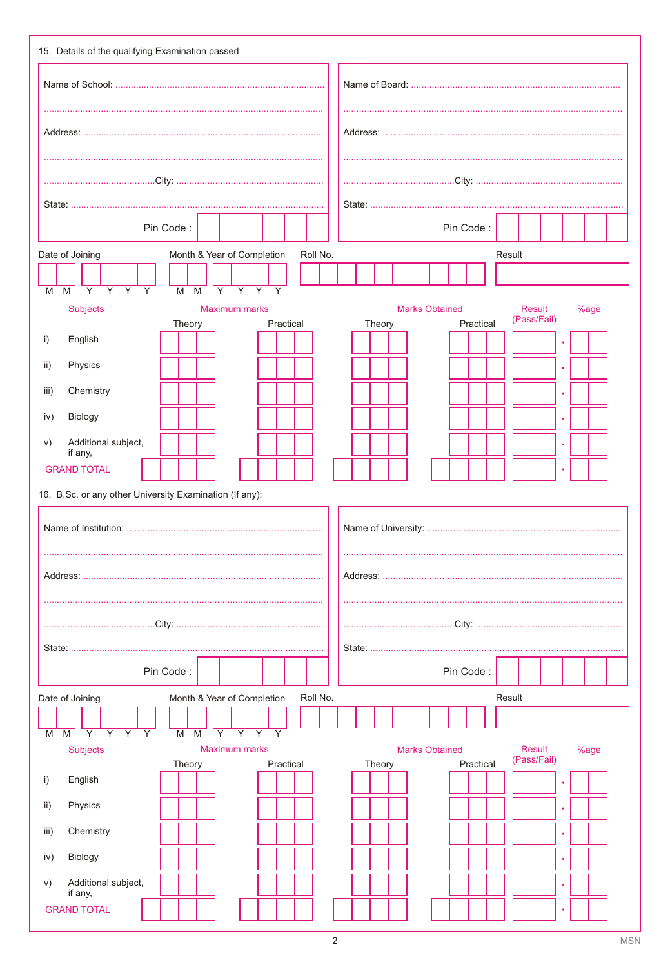| Pin Code:                                                                                                                                                                              | Pin Code:                                                                            |  |  |  |  |  |  |  |  |  |
|----------------------------------------------------------------------------------------------------------------------------------------------------------------------------------------|--------------------------------------------------------------------------------------|--|--|--|--|--|--|--|--|--|
| Month & Year of Completion<br>Date of Joining<br>Roll No.                                                                                                                              | Result                                                                               |  |  |  |  |  |  |  |  |  |
| $\overline{Y}$<br>$\overline{\mathsf{Y}}$<br>$\overline{Y}$<br>$\overline{Y}$<br>$\overline{Y}$<br>$\overline{Y}$<br>Y<br>Y<br>М<br>M<br>м<br>M                                        |                                                                                      |  |  |  |  |  |  |  |  |  |
| <b>Subjects</b><br><b>Maximum marks</b>                                                                                                                                                | <b>Marks Obtained</b><br>Result<br>%age<br>(Pass/Fail)                               |  |  |  |  |  |  |  |  |  |
| Practical<br>Theory<br>English<br>i)                                                                                                                                                   | Practical<br>Theory                                                                  |  |  |  |  |  |  |  |  |  |
| Physics<br>ii)                                                                                                                                                                         |                                                                                      |  |  |  |  |  |  |  |  |  |
| Chemistry<br>iii)                                                                                                                                                                      |                                                                                      |  |  |  |  |  |  |  |  |  |
| Biology<br>iv)                                                                                                                                                                         |                                                                                      |  |  |  |  |  |  |  |  |  |
| Additional subject,<br>V)<br>if any,                                                                                                                                                   |                                                                                      |  |  |  |  |  |  |  |  |  |
| <b>GRAND TOTAL</b>                                                                                                                                                                     |                                                                                      |  |  |  |  |  |  |  |  |  |
| 16. B.Sc. or any other University Examination (If any):                                                                                                                                |                                                                                      |  |  |  |  |  |  |  |  |  |
|                                                                                                                                                                                        |                                                                                      |  |  |  |  |  |  |  |  |  |
|                                                                                                                                                                                        |                                                                                      |  |  |  |  |  |  |  |  |  |
|                                                                                                                                                                                        |                                                                                      |  |  |  |  |  |  |  |  |  |
|                                                                                                                                                                                        |                                                                                      |  |  |  |  |  |  |  |  |  |
| Pin Code:                                                                                                                                                                              | Pin Code:                                                                            |  |  |  |  |  |  |  |  |  |
| Month & Year of Completion<br>Roll No.<br>Date of Joining                                                                                                                              | Result                                                                               |  |  |  |  |  |  |  |  |  |
| $\overline{Y}$<br>$\overline{Y}$<br>$\overline{Y}$<br>$\overline{Y}$<br>$\overline{Y}$<br>$\overline{Y}$<br>$\overline{\mathsf{Y}}$<br>$\overline{M}$<br>M<br>$\overline{M}$<br>Υ<br>M |                                                                                      |  |  |  |  |  |  |  |  |  |
| <b>Subjects</b><br><b>Maximum marks</b><br>Theory<br>Practical                                                                                                                         | <b>Result</b><br><b>Marks Obtained</b><br>%age<br>(Pass/Fail)<br>Theory<br>Practical |  |  |  |  |  |  |  |  |  |
| i)<br>English<br>$\mathsf{ii}$ )<br>Physics                                                                                                                                            |                                                                                      |  |  |  |  |  |  |  |  |  |
| Chemistry<br>iii)                                                                                                                                                                      |                                                                                      |  |  |  |  |  |  |  |  |  |
|                                                                                                                                                                                        |                                                                                      |  |  |  |  |  |  |  |  |  |
|                                                                                                                                                                                        |                                                                                      |  |  |  |  |  |  |  |  |  |
| Biology<br>iv)<br>Additional subject,<br>V)<br>if any,                                                                                                                                 |                                                                                      |  |  |  |  |  |  |  |  |  |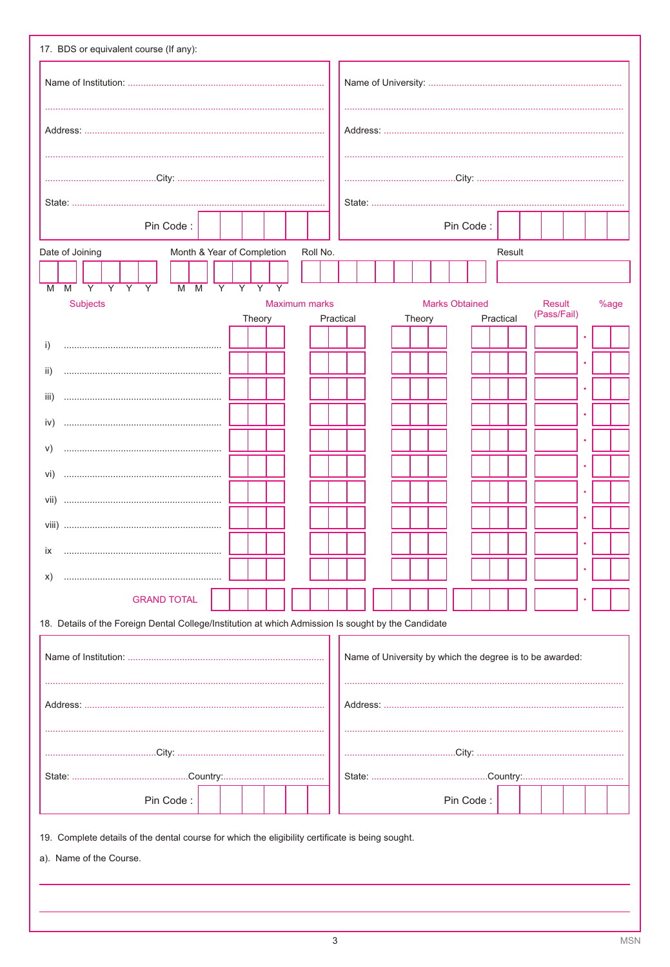| Pin Code:                                                                                           |                |                               |                |  |               |  |           |  |  |        |  | Pin Code:             |  |           |        |  |                                                          |  |      |  |
|-----------------------------------------------------------------------------------------------------|----------------|-------------------------------|----------------|--|---------------|--|-----------|--|--|--------|--|-----------------------|--|-----------|--------|--|----------------------------------------------------------|--|------|--|
| Month & Year of Completion<br>Date of Joining                                                       |                |                               |                |  | Roll No.      |  |           |  |  |        |  |                       |  |           | Result |  |                                                          |  |      |  |
| $\overline{Y}$<br>$\overline{Y}$<br>$\overline{Y}$<br>$\overline{Y}$<br>$M$ $M$<br>M<br>M           | $\overline{Y}$ | $\overline{Y}$ $\overline{Y}$ | $\overline{Y}$ |  |               |  |           |  |  |        |  |                       |  |           |        |  |                                                          |  |      |  |
| <b>Subjects</b>                                                                                     |                | Theory                        |                |  | Maximum marks |  | Practical |  |  | Theory |  | <b>Marks Obtained</b> |  | Practical |        |  | <b>Result</b><br>(Pass/Fail)                             |  | %age |  |
| i)                                                                                                  |                |                               |                |  |               |  |           |  |  |        |  |                       |  |           |        |  |                                                          |  |      |  |
| ii)                                                                                                 |                |                               |                |  |               |  |           |  |  |        |  |                       |  |           |        |  |                                                          |  |      |  |
| iii)                                                                                                |                |                               |                |  |               |  |           |  |  |        |  |                       |  |           |        |  |                                                          |  |      |  |
| iv)                                                                                                 |                |                               |                |  |               |  |           |  |  |        |  |                       |  |           |        |  |                                                          |  |      |  |
| V)                                                                                                  |                |                               |                |  |               |  |           |  |  |        |  |                       |  |           |        |  |                                                          |  |      |  |
| Vİ)                                                                                                 |                |                               |                |  |               |  |           |  |  |        |  |                       |  |           |        |  |                                                          |  |      |  |
| vii)<br>                                                                                            |                |                               |                |  |               |  |           |  |  |        |  |                       |  |           |        |  |                                                          |  |      |  |
|                                                                                                     |                |                               |                |  |               |  |           |  |  |        |  |                       |  |           |        |  |                                                          |  |      |  |
| ix<br>X)                                                                                            |                |                               |                |  |               |  |           |  |  |        |  |                       |  |           |        |  |                                                          |  |      |  |
| <b>GRAND TOTAL</b>                                                                                  |                |                               |                |  |               |  |           |  |  |        |  |                       |  |           |        |  |                                                          |  |      |  |
| 18. Details of the Foreign Dental College/Institution at which Admission Is sought by the Candidate |                |                               |                |  |               |  |           |  |  |        |  |                       |  |           |        |  |                                                          |  |      |  |
|                                                                                                     |                |                               |                |  |               |  |           |  |  |        |  |                       |  |           |        |  | Name of University by which the degree is to be awarded: |  |      |  |
|                                                                                                     |                |                               |                |  |               |  |           |  |  |        |  |                       |  |           |        |  |                                                          |  |      |  |
|                                                                                                     |                |                               |                |  |               |  |           |  |  |        |  |                       |  |           |        |  |                                                          |  |      |  |
|                                                                                                     |                |                               |                |  |               |  |           |  |  |        |  |                       |  |           |        |  |                                                          |  |      |  |
| Pin Code:                                                                                           |                |                               |                |  |               |  |           |  |  |        |  | Pin Code:             |  |           |        |  |                                                          |  |      |  |
| 19. Complete details of the dental course for which the eligibility certificate is being sought.    |                |                               |                |  |               |  |           |  |  |        |  |                       |  |           |        |  |                                                          |  |      |  |
| a). Name of the Course.                                                                             |                |                               |                |  |               |  |           |  |  |        |  |                       |  |           |        |  |                                                          |  |      |  |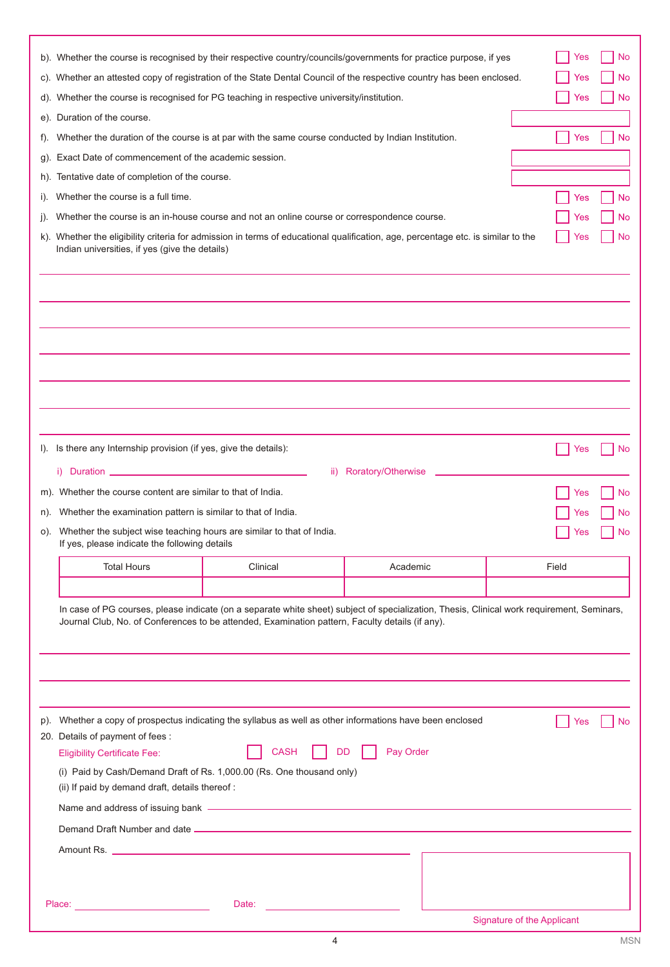| t).<br>g).<br>h).<br>$\mathbf{I}$ .<br>j). | b). Whether the course is recognised by their respective country/councils/governments for practice purpose, if yes<br>c). Whether an attested copy of registration of the State Dental Council of the respective country has been enclosed.<br>d). Whether the course is recognised for PG teaching in respective university/institution.<br>e). Duration of the course.<br>Whether the duration of the course is at par with the same course conducted by Indian Institution.<br>Exact Date of commencement of the academic session.<br>Tentative date of completion of the course.<br>Whether the course is a full time.<br>Whether the course is an in-house course and not an online course or correspondence course. |           | Yes<br>Yes<br>Yes<br>Yes<br>Yes<br>Yes | No<br>No<br>No<br>No<br><b>No</b><br>No |
|--------------------------------------------|---------------------------------------------------------------------------------------------------------------------------------------------------------------------------------------------------------------------------------------------------------------------------------------------------------------------------------------------------------------------------------------------------------------------------------------------------------------------------------------------------------------------------------------------------------------------------------------------------------------------------------------------------------------------------------------------------------------------------|-----------|----------------------------------------|-----------------------------------------|
| K).                                        | Whether the eligibility criteria for admission in terms of educational qualification, age, percentage etc. is similar to the<br>Indian universities, if yes (give the details)                                                                                                                                                                                                                                                                                                                                                                                                                                                                                                                                            |           | Yes                                    | No                                      |
| $\mathsf{I}$ .<br>n).<br>O).               | Is there any Internship provision (if yes, give the details):<br>Roratory/Otherwise<br>ii)<br>m). Whether the course content are similar to that of India.<br>Whether the examination pattern is similar to that of India.<br>Whether the subject wise teaching hours are similar to that of India.<br>If yes, please indicate the following details<br><b>Total Hours</b><br>Clinical                                                                                                                                                                                                                                                                                                                                    | Academic  | Yes<br>Yes<br>Yes<br>Yes<br>Field      | No<br>No<br><b>No</b><br>No             |
|                                            | In case of PG courses, please indicate (on a separate white sheet) subject of specialization, Thesis, Clinical work requirement, Seminars,<br>Journal Club, No. of Conferences to be attended, Examination pattern, Faculty details (if any).                                                                                                                                                                                                                                                                                                                                                                                                                                                                             |           |                                        |                                         |
| p).                                        | Whether a copy of prospectus indicating the syllabus as well as other informations have been enclosed<br>20. Details of payment of fees :<br><b>CASH</b><br><b>DD</b><br><b>Eligibility Certificate Fee:</b><br>(i) Paid by Cash/Demand Draft of Rs. 1,000.00 (Rs. One thousand only)<br>(ii) If paid by demand draft, details thereof:<br>Name and address of issuing bank - The Context of the Context of the Context of the Context of the Context of the Context of the Context of the Context of the Context of the Context of the Context of the Context of the Con<br>Place:<br>Date:                                                                                                                              | Pay Order | Yes                                    | No                                      |
|                                            |                                                                                                                                                                                                                                                                                                                                                                                                                                                                                                                                                                                                                                                                                                                           |           | <b>Signature of the Applicant</b>      |                                         |

4